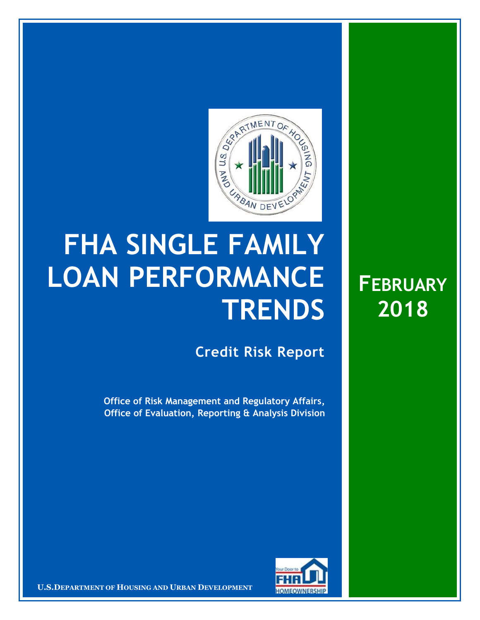

## **FHA SINGLE FAMILY LOAN PERFORMANCE TRENDS**

**Credit Risk Report**

**FEBRUARY**

**2018**

**Office of Risk Management and Regulatory Affairs, Office of Evaluation, Reporting & Analysis Division**



**U.S.DEPARTMENT OF HOUSING AND URBAN DEVELOPMENT**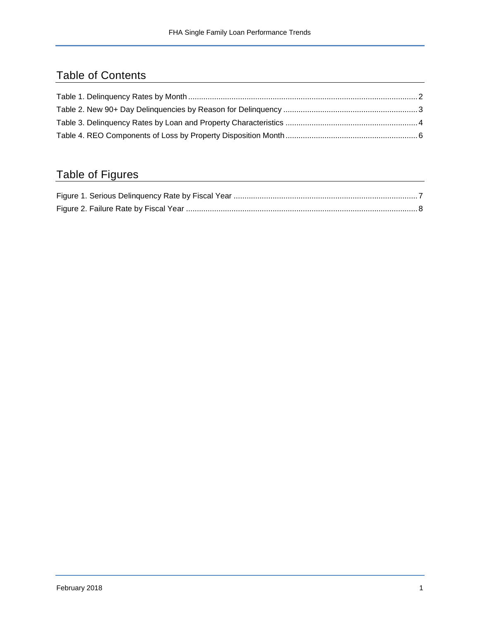## Table of Contents

## Table of Figures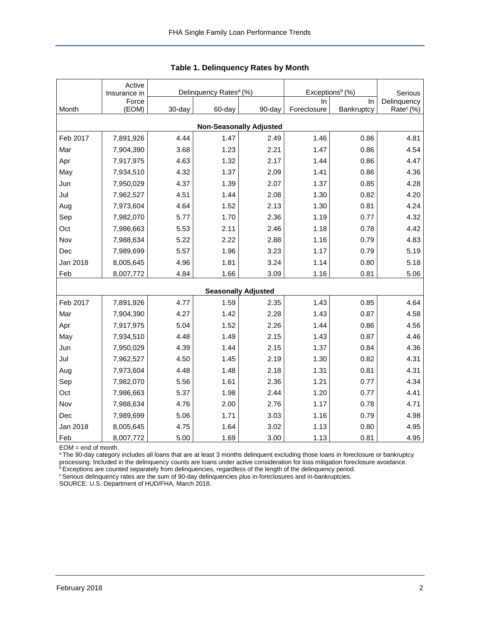<span id="page-2-0"></span>

|                                | Active                |        |                                    |                            | Exceptions <sup>b</sup> (%) |                        |                       |  |  |  |  |
|--------------------------------|-----------------------|--------|------------------------------------|----------------------------|-----------------------------|------------------------|-----------------------|--|--|--|--|
|                                | Insurance in<br>Force |        | Delinquency Rates <sup>a</sup> (%) |                            | In.                         | Serious<br>Delinquency |                       |  |  |  |  |
| Month                          | (EOM)                 | 30-day | 60-day                             | 90-day                     | Foreclosure                 | In<br>Bankruptcy       | Rate <sup>c</sup> (%) |  |  |  |  |
| <b>Non-Seasonally Adjusted</b> |                       |        |                                    |                            |                             |                        |                       |  |  |  |  |
| Feb 2017                       | 7,891,926             | 4.44   | 1.47                               | 2.49                       | 1.46                        | 0.86                   | 4.81                  |  |  |  |  |
| Mar                            | 7,904,390             | 3.68   | 1.23                               | 2.21                       | 1.47                        | 0.86                   | 4.54                  |  |  |  |  |
| Apr                            | 7,917,975             | 4.63   | 1.32                               | 2.17                       | 1.44                        | 0.86                   | 4.47                  |  |  |  |  |
| May                            | 7,934,510             | 4.32   | 1.37                               | 2.09                       | 1.41                        | 0.86                   | 4.36                  |  |  |  |  |
| Jun                            | 7,950,029             | 4.37   | 1.39                               | 2.07                       | 1.37                        | 0.85                   | 4.28                  |  |  |  |  |
| Jul                            | 7,962,527             | 4.51   | 1.44                               | 2.08                       | 1.30                        | 0.82                   | 4.20                  |  |  |  |  |
| Aug                            | 7,973,604             | 4.64   | 1.52                               | 2.13                       | 1.30                        | 0.81                   | 4.24                  |  |  |  |  |
| Sep                            | 7,982,070             | 5.77   | 1.70                               | 2.36                       | 1.19                        | 0.77                   | 4.32                  |  |  |  |  |
| Oct                            | 7,986,663             | 5.53   | 2.11                               | 2.46                       | 1.18                        | 0.78                   | 4.42                  |  |  |  |  |
| Nov                            | 7,988,634             | 5.22   | 2.22                               | 2.88                       | 1.16                        | 0.79                   | 4.83                  |  |  |  |  |
| Dec                            | 7,989,699             | 5.57   | 1.96                               | 3.23                       | 1.17                        | 0.79                   | 5.19                  |  |  |  |  |
| Jan 2018                       | 8,005,645             | 4.96   | 1.81                               | 3.24                       | 1.14                        | 0.80                   | 5.18                  |  |  |  |  |
| Feb                            | 8,007,772             | 4.84   | 1.66                               | 3.09                       | 1.16                        | 0.81                   | 5.06                  |  |  |  |  |
|                                |                       |        |                                    | <b>Seasonally Adjusted</b> |                             |                        |                       |  |  |  |  |
| Feb 2017                       | 7,891,926             | 4.77   | 1.59                               | 2.35                       | 1.43                        | 0.85                   | 4.64                  |  |  |  |  |
| Mar                            | 7,904,390             | 4.27   | 1.42                               | 2.28                       | 1.43                        | 0.87                   | 4.58                  |  |  |  |  |
| Apr                            | 7,917,975             | 5.04   | 1.52                               | 2.26                       | 1.44                        | 0.86                   | 4.56                  |  |  |  |  |
| May                            | 7,934,510             | 4.48   | 1.49                               | 2.15                       | 1.43                        | 0.87                   | 4.46                  |  |  |  |  |
| Jun                            | 7,950,029             | 4.39   | 1.44                               | 2.15                       | 1.37                        | 0.84                   | 4.36                  |  |  |  |  |
| Jul                            | 7,962,527             | 4.50   | 1.45                               | 2.19                       | 1.30                        | 0.82                   | 4.31                  |  |  |  |  |
| Aug                            | 7,973,604             | 4.48   | 1.48                               | 2.18                       | 1.31                        | 0.81                   | 4.31                  |  |  |  |  |
| Sep                            | 7,982,070             | 5.56   | 1.61                               | 2.36                       | 1.21                        | 0.77                   | 4.34                  |  |  |  |  |
| Oct                            | 7,986,663             | 5.37   | 1.98                               | 2.44                       | 1.20                        | 0.77                   | 4.41                  |  |  |  |  |
| Nov                            | 7,988,634             | 4.76   | 2.00                               | 2.76                       | 1.17                        | 0.78                   | 4.71                  |  |  |  |  |
| Dec                            | 7,989,699             | 5.06   | 1.71                               | 3.03                       | 1.16                        | 0.79                   | 4.98                  |  |  |  |  |
| Jan 2018                       | 8,005,645             | 4.75   | 1.64                               | 3.02                       | 1.13                        | 0.80                   | 4.95                  |  |  |  |  |
| Feb                            | 8,007,772             | 5.00   | 1.69                               | 3.00                       | 1.13                        | 0.81                   | 4.95                  |  |  |  |  |

**Table 1. Delinquency Rates by Month**

EOM = end of month.

a The 90-day category includes all loans that are at least 3 months delinquent excluding those loans in foreclosure or bankruptcy processing. Included in the delinquency counts are loans under active consideration for loss mitigation foreclosure avoidance.

**bExceptions are counted separately from delinquencies, regardless of the length of the delinquency period.** 

<sup>c</sup> Serious delinquency rates are the sum of 90-day delinquencies plus in-foreclosures and in-bankruptcies.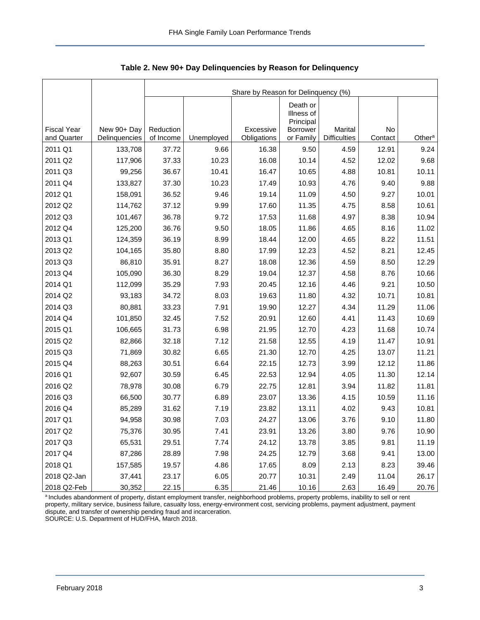|                    |               | Share by Reason for Delinquency (%) |            |             |                                                        |                     |         |                    |  |  |  |  |
|--------------------|---------------|-------------------------------------|------------|-------------|--------------------------------------------------------|---------------------|---------|--------------------|--|--|--|--|
| <b>Fiscal Year</b> | New 90+ Day   | Reduction                           |            | Excessive   | Death or<br>Illness of<br>Principal<br><b>Borrower</b> | Marital             | No      |                    |  |  |  |  |
| and Quarter        | Delinquencies | of Income                           | Unemployed | Obligations | or Family                                              | <b>Difficulties</b> | Contact | Other <sup>a</sup> |  |  |  |  |
| 2011 Q1            | 133,708       | 37.72                               | 9.66       | 16.38       | 9.50                                                   | 4.59                | 12.91   | 9.24               |  |  |  |  |
| 2011 Q2            | 117,906       | 37.33                               | 10.23      | 16.08       | 10.14                                                  | 4.52                | 12.02   | 9.68               |  |  |  |  |
| 2011 Q3            | 99,256        | 36.67                               | 10.41      | 16.47       | 10.65                                                  | 4.88                | 10.81   | 10.11              |  |  |  |  |
| 2011 Q4            | 133,827       | 37.30                               | 10.23      | 17.49       | 10.93                                                  | 4.76                | 9.40    | 9.88               |  |  |  |  |
| 2012 Q1            | 158,091       | 36.52                               | 9.46       | 19.14       | 11.09                                                  | 4.50                | 9.27    | 10.01              |  |  |  |  |
| 2012 Q2            | 114,762       | 37.12                               | 9.99       | 17.60       | 11.35                                                  | 4.75                | 8.58    | 10.61              |  |  |  |  |
| 2012 Q3            | 101,467       | 36.78                               | 9.72       | 17.53       | 11.68                                                  | 4.97                | 8.38    | 10.94              |  |  |  |  |
| 2012 Q4            | 125,200       | 36.76                               | 9.50       | 18.05       | 11.86                                                  | 4.65                | 8.16    | 11.02              |  |  |  |  |
| 2013 Q1            | 124,359       | 36.19                               | 8.99       | 18.44       | 12.00                                                  | 4.65                | 8.22    | 11.51              |  |  |  |  |
| 2013 Q2            | 104,165       | 35.80                               | 8.80       | 17.99       | 12.23                                                  | 4.52                | 8.21    | 12.45              |  |  |  |  |
| 2013 Q3            | 86,810        | 35.91                               | 8.27       | 18.08       | 12.36                                                  | 4.59                | 8.50    | 12.29              |  |  |  |  |
| 2013 Q4            | 105,090       | 36.30                               | 8.29       | 19.04       | 12.37                                                  | 4.58                | 8.76    | 10.66              |  |  |  |  |
| 2014 Q1            | 112,099       | 35.29                               | 7.93       | 20.45       | 12.16                                                  | 4.46                | 9.21    | 10.50              |  |  |  |  |
| 2014 Q2            | 93,183        | 34.72                               | 8.03       | 19.63       | 11.80                                                  | 4.32                | 10.71   | 10.81              |  |  |  |  |
| 2014 Q3            | 80,881        | 33.23                               | 7.91       | 19.90       | 12.27                                                  | 4.34                | 11.29   | 11.06              |  |  |  |  |
| 2014 Q4            | 101,850       | 32.45                               | 7.52       | 20.91       | 12.60                                                  | 4.41                | 11.43   | 10.69              |  |  |  |  |
| 2015 Q1            | 106,665       | 31.73                               | 6.98       | 21.95       | 12.70                                                  | 4.23                | 11.68   | 10.74              |  |  |  |  |
| 2015 Q2            | 82,866        | 32.18                               | 7.12       | 21.58       | 12.55                                                  | 4.19                | 11.47   | 10.91              |  |  |  |  |
| 2015 Q3            | 71,869        | 30.82                               | 6.65       | 21.30       | 12.70                                                  | 4.25                | 13.07   | 11.21              |  |  |  |  |
| 2015 Q4            | 88,263        | 30.51                               | 6.64       | 22.15       | 12.73                                                  | 3.99                | 12.12   | 11.86              |  |  |  |  |
| 2016 Q1            | 92,607        | 30.59                               | 6.45       | 22.53       | 12.94                                                  | 4.05                | 11.30   | 12.14              |  |  |  |  |
| 2016 Q2            | 78,978        | 30.08                               | 6.79       | 22.75       | 12.81                                                  | 3.94                | 11.82   | 11.81              |  |  |  |  |
| 2016 Q3            | 66,500        | 30.77                               | 6.89       | 23.07       | 13.36                                                  | 4.15                | 10.59   | 11.16              |  |  |  |  |
| 2016 Q4            | 85,289        | 31.62                               | 7.19       | 23.82       | 13.11                                                  | 4.02                | 9.43    | 10.81              |  |  |  |  |
| 2017 Q1            | 94,958        | 30.98                               | 7.03       | 24.27       | 13.06                                                  | 3.76                | 9.10    | 11.80              |  |  |  |  |
| 2017 Q2            | 75,376        | 30.95                               | 7.41       | 23.91       | 13.26                                                  | 3.80                | 9.76    | 10.90              |  |  |  |  |
| 2017 Q3            | 65,531        | 29.51                               | 7.74       | 24.12       | 13.78                                                  | 3.85                | 9.81    | 11.19              |  |  |  |  |
| 2017 Q4            | 87,286        | 28.89                               | 7.98       | 24.25       | 12.79                                                  | 3.68                | 9.41    | 13.00              |  |  |  |  |
| 2018 Q1            | 157,585       | 19.57                               | 4.86       | 17.65       | 8.09                                                   | 2.13                | 8.23    | 39.46              |  |  |  |  |
| 2018 Q2-Jan        | 37,441        | 23.17                               | 6.05       | 20.77       | 10.31                                                  | 2.49                | 11.04   | 26.17              |  |  |  |  |
| 2018 Q2-Feb        | 30,352        | 22.15                               | 6.35       | 21.46       | 10.16                                                  | 2.63                | 16.49   | 20.76              |  |  |  |  |

<span id="page-3-0"></span>**Table 2. New 90+ Day Delinquencies by Reason for Delinquency**

a Includes abandonment of property, distant employment transfer, neighborhood problems, property problems, inability to sell or rent property, military service, business failure, casualty loss, energy-environment cost, servicing problems, payment adjustment, payment dispute, and transfer of ownership pending fraud and incarceration. SOURCE: U.S. Department of HUD/FHA, March 2018.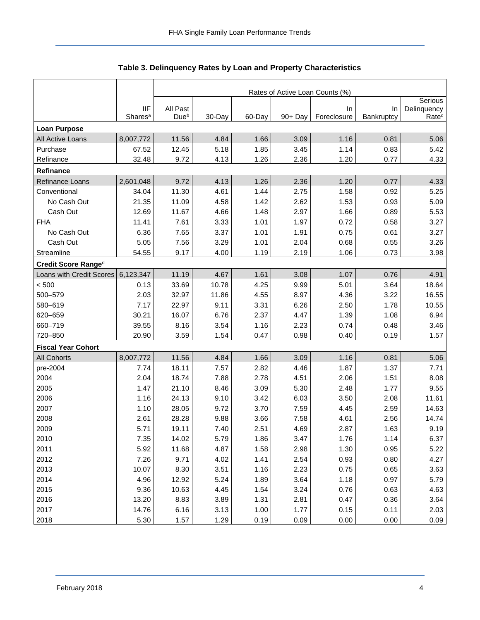<span id="page-4-0"></span>

|                           |                                   | Rates of Active Loan Counts (%) |        |        |         |                   |                  |                                  |  |  |  |
|---------------------------|-----------------------------------|---------------------------------|--------|--------|---------|-------------------|------------------|----------------------------------|--|--|--|
|                           |                                   |                                 |        |        |         |                   |                  | Serious                          |  |  |  |
|                           | <b>IIF</b><br>Shares <sup>a</sup> | All Past<br>Due <sup>b</sup>    | 30-Day | 60-Day | 90+ Day | In<br>Foreclosure | In<br>Bankruptcy | Delinquency<br>Rate <sup>c</sup> |  |  |  |
| <b>Loan Purpose</b>       |                                   |                                 |        |        |         |                   |                  |                                  |  |  |  |
| All Active Loans          | 8,007,772                         | 11.56                           | 4.84   | 1.66   | 3.09    | 1.16              | 0.81             | 5.06                             |  |  |  |
| Purchase                  | 67.52                             | 12.45                           | 5.18   | 1.85   | 3.45    | 1.14              | 0.83             | 5.42                             |  |  |  |
| Refinance                 | 32.48                             | 9.72                            | 4.13   | 1.26   | 2.36    | 1.20              | 0.77             | 4.33                             |  |  |  |
| Refinance                 |                                   |                                 |        |        |         |                   |                  |                                  |  |  |  |
| Refinance Loans           | 2,601,048                         | 9.72                            | 4.13   | 1.26   | 2.36    | 1.20              | 0.77             | 4.33                             |  |  |  |
| Conventional              | 34.04                             | 11.30                           | 4.61   | 1.44   | 2.75    | 1.58              | 0.92             | 5.25                             |  |  |  |
| No Cash Out               | 21.35                             | 11.09                           | 4.58   | 1.42   | 2.62    | 1.53              | 0.93             | 5.09                             |  |  |  |
| Cash Out                  | 12.69                             | 11.67                           | 4.66   | 1.48   | 2.97    | 1.66              | 0.89             | 5.53                             |  |  |  |
| <b>FHA</b>                | 11.41                             | 7.61                            | 3.33   | 1.01   | 1.97    | 0.72              | 0.58             | 3.27                             |  |  |  |
| No Cash Out               | 6.36                              | 7.65                            | 3.37   | 1.01   | 1.91    | 0.75              | 0.61             | 3.27                             |  |  |  |
| Cash Out                  | 5.05                              | 7.56                            | 3.29   | 1.01   | 2.04    | 0.68              | 0.55             | 3.26                             |  |  |  |
| Streamline                | 54.55                             | 9.17                            | 4.00   | 1.19   | 2.19    | 1.06              | 0.73             | 3.98                             |  |  |  |
| Credit Score Ranged       |                                   |                                 |        |        |         |                   |                  |                                  |  |  |  |
| Loans with Credit Scores  | 6,123,347                         | 11.19                           | 4.67   | 1.61   | 3.08    | 1.07              | 0.76             | 4.91                             |  |  |  |
| < 500                     | 0.13                              | 33.69                           | 10.78  | 4.25   | 9.99    | 5.01              | 3.64             | 18.64                            |  |  |  |
| 500-579                   | 2.03                              | 32.97                           | 11.86  | 4.55   | 8.97    | 4.36              | 3.22             | 16.55                            |  |  |  |
| 580-619                   | 7.17                              | 22.97                           | 9.11   | 3.31   | 6.26    | 2.50              | 1.78             | 10.55                            |  |  |  |
| 620-659                   | 30.21                             | 16.07                           | 6.76   | 2.37   | 4.47    | 1.39              | 1.08             | 6.94                             |  |  |  |
| 660-719                   | 39.55                             | 8.16                            | 3.54   | 1.16   | 2.23    | 0.74              | 0.48             | 3.46                             |  |  |  |
| 720-850                   | 20.90                             | 3.59                            | 1.54   | 0.47   | 0.98    | 0.40              | 0.19             | 1.57                             |  |  |  |
| <b>Fiscal Year Cohort</b> |                                   |                                 |        |        |         |                   |                  |                                  |  |  |  |
| <b>All Cohorts</b>        | 8,007,772                         | 11.56                           | 4.84   | 1.66   | 3.09    | 1.16              | 0.81             | 5.06                             |  |  |  |
| pre-2004                  | 7.74                              | 18.11                           | 7.57   | 2.82   | 4.46    | 1.87              | 1.37             | 7.71                             |  |  |  |
| 2004                      | 2.04                              | 18.74                           | 7.88   | 2.78   | 4.51    | 2.06              | 1.51             | 8.08                             |  |  |  |
| 2005                      | 1.47                              | 21.10                           | 8.46   | 3.09   | 5.30    | 2.48              | 1.77             | 9.55                             |  |  |  |
| 2006                      | 1.16                              | 24.13                           | 9.10   | 3.42   | 6.03    | 3.50              | 2.08             | 11.61                            |  |  |  |
| 2007                      | 1.10                              | 28.05                           | 9.72   | 3.70   | 7.59    | 4.45              | 2.59             | 14.63                            |  |  |  |
| 2008                      | 2.61                              | 28.28                           | 9.88   | 3.66   | 7.58    | 4.61              | 2.56             | 14.74                            |  |  |  |
| 2009                      | 5.71                              | 19.11                           | 7.40   | 2.51   | 4.69    | 2.87              | 1.63             | 9.19                             |  |  |  |
| 2010                      | 7.35                              | 14.02                           | 5.79   | 1.86   | 3.47    | 1.76              | 1.14             | 6.37                             |  |  |  |
| 2011                      | 5.92                              | 11.68                           | 4.87   | 1.58   | 2.98    | 1.30              | 0.95             | 5.22                             |  |  |  |
| 2012                      | 7.26                              | 9.71                            | 4.02   | 1.41   | 2.54    | 0.93              | 0.80             | 4.27                             |  |  |  |
| 2013                      | 10.07                             | 8.30                            | 3.51   | 1.16   | 2.23    | 0.75              | 0.65             | 3.63                             |  |  |  |
| 2014                      | 4.96                              | 12.92                           | 5.24   | 1.89   | 3.64    | 1.18              | 0.97             | 5.79                             |  |  |  |
| 2015                      | 9.36                              | 10.63                           | 4.45   | 1.54   | 3.24    | 0.76              | 0.63             | 4.63                             |  |  |  |
| 2016                      | 13.20                             | 8.83                            | 3.89   | 1.31   | 2.81    | 0.47              | 0.36             | 3.64                             |  |  |  |
| 2017                      | 14.76                             | 6.16                            | 3.13   | 1.00   | 1.77    | 0.15              | 0.11             | 2.03                             |  |  |  |
| 2018                      | 5.30                              | 1.57                            | 1.29   | 0.19   | 0.09    | 0.00              | 0.00             | 0.09                             |  |  |  |

## **Table 3. Delinquency Rates by Loan and Property Characteristics**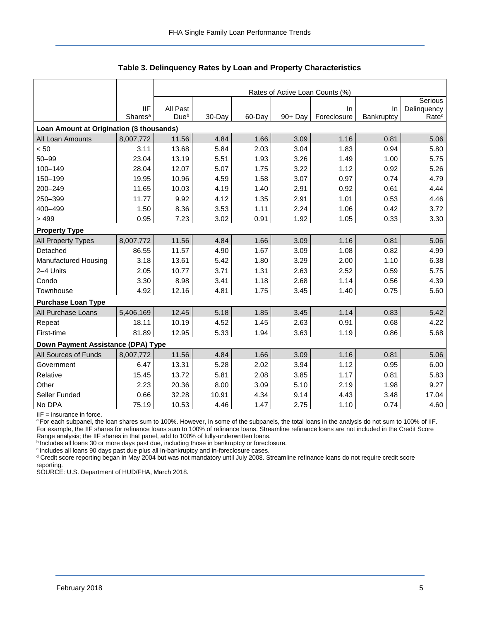|                                           |                     | Rates of Active Loan Counts (%) |        |        |            |             |            |                   |  |  |  |
|-------------------------------------------|---------------------|---------------------------------|--------|--------|------------|-------------|------------|-------------------|--|--|--|
|                                           |                     |                                 |        |        |            |             |            | Serious           |  |  |  |
|                                           | <b>IIF</b>          | All Past                        |        |        |            | In          | In         | Delinquency       |  |  |  |
|                                           | Shares <sup>a</sup> | Due <sup>b</sup>                | 30-Day | 60-Day | $90 + Day$ | Foreclosure | Bankruptcy | Rate <sup>c</sup> |  |  |  |
| Loan Amount at Origination (\$ thousands) |                     |                                 |        |        |            |             |            |                   |  |  |  |
| All Loan Amounts                          | 8,007,772           | 11.56                           | 4.84   | 1.66   | 3.09       | 1.16        | 0.81       | 5.06              |  |  |  |
| < 50                                      | 3.11                | 13.68                           | 5.84   | 2.03   | 3.04       | 1.83        | 0.94       | 5.80              |  |  |  |
| $50 - 99$                                 | 23.04               | 13.19                           | 5.51   | 1.93   | 3.26       | 1.49        | 1.00       | 5.75              |  |  |  |
| 100-149                                   | 28.04               | 12.07                           | 5.07   | 1.75   | 3.22       | 1.12        | 0.92       | 5.26              |  |  |  |
| 150-199                                   | 19.95               | 10.96                           | 4.59   | 1.58   | 3.07       | 0.97        | 0.74       | 4.79              |  |  |  |
| 200-249                                   | 11.65               | 10.03                           | 4.19   | 1.40   | 2.91       | 0.92        | 0.61       | 4.44              |  |  |  |
| 250-399                                   | 11.77               | 9.92                            | 4.12   | 1.35   | 2.91       | 1.01        | 0.53       | 4.46              |  |  |  |
| 400-499                                   | 1.50                | 8.36                            | 3.53   | 1.11   | 2.24       | 1.06        | 0.42       | 3.72              |  |  |  |
| >499                                      | 0.95                | 7.23                            | 3.02   | 0.91   | 1.92       | 1.05        | 0.33       | 3.30              |  |  |  |
| <b>Property Type</b>                      |                     |                                 |        |        |            |             |            |                   |  |  |  |
| All Property Types                        | 8,007,772           | 11.56                           | 4.84   | 1.66   | 3.09       | 1.16        | 0.81       | 5.06              |  |  |  |
| Detached                                  | 86.55               | 11.57                           | 4.90   | 1.67   | 3.09       | 1.08        | 0.82       | 4.99              |  |  |  |
| Manufactured Housing                      | 3.18                | 13.61                           | 5.42   | 1.80   | 3.29       | 2.00        | 1.10       | 6.38              |  |  |  |
| 2-4 Units                                 | 2.05                | 10.77                           | 3.71   | 1.31   | 2.63       | 2.52        | 0.59       | 5.75              |  |  |  |
| Condo                                     | 3.30                | 8.98                            | 3.41   | 1.18   | 2.68       | 1.14        | 0.56       | 4.39              |  |  |  |
| Townhouse                                 | 4.92                | 12.16                           | 4.81   | 1.75   | 3.45       | 1.40        | 0.75       | 5.60              |  |  |  |
| <b>Purchase Loan Type</b>                 |                     |                                 |        |        |            |             |            |                   |  |  |  |
| All Purchase Loans                        | 5,406,169           | 12.45                           | 5.18   | 1.85   | 3.45       | 1.14        | 0.83       | 5.42              |  |  |  |
| Repeat                                    | 18.11               | 10.19                           | 4.52   | 1.45   | 2.63       | 0.91        | 0.68       | 4.22              |  |  |  |
| First-time                                | 81.89               | 12.95                           | 5.33   | 1.94   | 3.63       | 1.19        | 0.86       | 5.68              |  |  |  |
| Down Payment Assistance (DPA) Type        |                     |                                 |        |        |            |             |            |                   |  |  |  |
| All Sources of Funds                      | 8,007,772           | 11.56                           | 4.84   | 1.66   | 3.09       | 1.16        | 0.81       | 5.06              |  |  |  |
| Government                                | 6.47                | 13.31                           | 5.28   | 2.02   | 3.94       | 1.12        | 0.95       | 6.00              |  |  |  |
| Relative                                  | 15.45               | 13.72                           | 5.81   | 2.08   | 3.85       | 1.17        | 0.81       | 5.83              |  |  |  |
| Other                                     | 2.23                | 20.36                           | 8.00   | 3.09   | 5.10       | 2.19        | 1.98       | 9.27              |  |  |  |
| Seller Funded                             | 0.66                | 32.28                           | 10.91  | 4.34   | 9.14       | 4.43        | 3.48       | 17.04             |  |  |  |
| No DPA                                    | 75.19               | 10.53                           | 4.46   | 1.47   | 2.75       | 1.10        | 0.74       | 4.60              |  |  |  |

**Table 3. Delinquency Rates by Loan and Property Characteristics**

IIF = insurance in force.

a For each subpanel, the loan shares sum to 100%. However, in some of the subpanels, the total loans in the analysis do not sum to 100% of IIF. For example, the IIF shares for refinance loans sum to 100% of refinance loans. Streamline refinance loans are not included in the Credit Score Range analysis; the IIF shares in that panel, add to 100% of fully-underwritten loans.

**bIncludes all loans 30 or more days past due, including those in bankruptcy or foreclosure.** 

<sup>c</sup> Includes all loans 90 days past due plus all in-bankruptcy and in-foreclosure cases.

<sup>d</sup> Credit score reporting began in May 2004 but was not mandatory until July 2008. Streamline refinance loans do not require credit score reporting.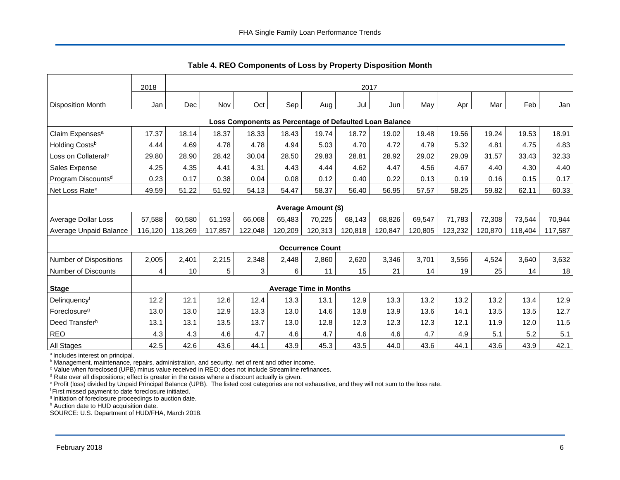<span id="page-6-0"></span>

|                                                         | 2018    | 2017    |         |         |         |                               |         |         |         |         |         |         |         |
|---------------------------------------------------------|---------|---------|---------|---------|---------|-------------------------------|---------|---------|---------|---------|---------|---------|---------|
| <b>Disposition Month</b>                                | Jan     | Dec     | Nov     | Oct     | Sep     | Aug                           | Jul     | Jun     | May     | Apr     | Mar     | Feb     | Jan     |
| Loss Components as Percentage of Defaulted Loan Balance |         |         |         |         |         |                               |         |         |         |         |         |         |         |
| Claim Expenses <sup>a</sup>                             | 17.37   | 18.14   | 18.37   | 18.33   | 18.43   | 19.74                         | 18.72   | 19.02   | 19.48   | 19.56   | 19.24   | 19.53   | 18.91   |
| Holding Costsb                                          | 4.44    | 4.69    | 4.78    | 4.78    | 4.94    | 5.03                          | 4.70    | 4.72    | 4.79    | 5.32    | 4.81    | 4.75    | 4.83    |
| Loss on Collateral <sup>c</sup>                         | 29.80   | 28.90   | 28.42   | 30.04   | 28.50   | 29.83                         | 28.81   | 28.92   | 29.02   | 29.09   | 31.57   | 33.43   | 32.33   |
| Sales Expense                                           | 4.25    | 4.35    | 4.41    | 4.31    | 4.43    | 4.44                          | 4.62    | 4.47    | 4.56    | 4.67    | 4.40    | 4.30    | 4.40    |
| Program Discounts <sup>d</sup>                          | 0.23    | 0.17    | 0.38    | 0.04    | 0.08    | 0.12                          | 0.40    | 0.22    | 0.13    | 0.19    | 0.16    | 0.15    | 0.17    |
| Net Loss Rate <sup>e</sup>                              | 49.59   | 51.22   | 51.92   | 54.13   | 54.47   | 58.37                         | 56.40   | 56.95   | 57.57   | 58.25   | 59.82   | 62.11   | 60.33   |
| <b>Average Amount (\$)</b>                              |         |         |         |         |         |                               |         |         |         |         |         |         |         |
| Average Dollar Loss                                     | 57,588  | 60,580  | 61.193  | 66,068  | 65,483  | 70,225                        | 68,143  | 68,826  | 69,547  | 71.783  | 72,308  | 73,544  | 70,944  |
| Average Unpaid Balance                                  | 116,120 | 118,269 | 117,857 | 122,048 | 120,209 | 120,313                       | 120,818 | 120,847 | 120,805 | 123,232 | 120,870 | 118,404 | 117,587 |
|                                                         |         |         |         |         |         | <b>Occurrence Count</b>       |         |         |         |         |         |         |         |
| <b>Number of Dispositions</b>                           | 2,005   | 2,401   | 2,215   | 2,348   | 2,448   | 2,860                         | 2,620   | 3,346   | 3,701   | 3,556   | 4,524   | 3,640   | 3,632   |
| <b>Number of Discounts</b>                              | 4       | 10      | 5       | 3       | 6       | 11                            | 15      | 21      | 14      | 19      | 25      | 14      | 18      |
| <b>Stage</b>                                            |         |         |         |         |         | <b>Average Time in Months</b> |         |         |         |         |         |         |         |
| Delinquencyf                                            | 12.2    | 12.1    | 12.6    | 12.4    | 13.3    | 13.1                          | 12.9    | 13.3    | 13.2    | 13.2    | 13.2    | 13.4    | 12.9    |
| Foreclosure <sup>g</sup>                                | 13.0    | 13.0    | 12.9    | 13.3    | 13.0    | 14.6                          | 13.8    | 13.9    | 13.6    | 14.1    | 13.5    | 13.5    | 12.7    |
| Deed Transferh                                          | 13.1    | 13.1    | 13.5    | 13.7    | 13.0    | 12.8                          | 12.3    | 12.3    | 12.3    | 12.1    | 11.9    | 12.0    | 11.5    |
| <b>REO</b>                                              | 4.3     | 4.3     | 4.6     | 4.7     | 4.6     | 4.7                           | 4.6     | 4.6     | 4.7     | 4.9     | 5.1     | 5.2     | 5.1     |
| All Stages                                              | 42.5    | 42.6    | 43.6    | 44.1    | 43.9    | 45.3                          | 43.5    | 44.0    | 43.6    | 44.1    | 43.6    | 43.9    | 42.1    |

**Table 4. REO Components of Loss by Property Disposition Month**

<sup>a</sup> Includes interest on principal.

**b** Management, maintenance, repairs, administration, and security, net of rent and other income.

<sup>c</sup> Value when foreclosed (UPB) minus value received in REO; does not include Streamline refinances.

 $d$  Rate over all dispositions; effect is greater in the cases where a discount actually is given.

<sup>e</sup> Profit (loss) divided by Unpaid Principal Balance (UPB). The listed cost categories are not exhaustive, and they will not sum to the loss rate.

<sup>f</sup> First missed payment to date foreclosure initiated.

<sup>g</sup> Initiation of foreclosure proceedings to auction date.

h Auction date to HUD acquisition date.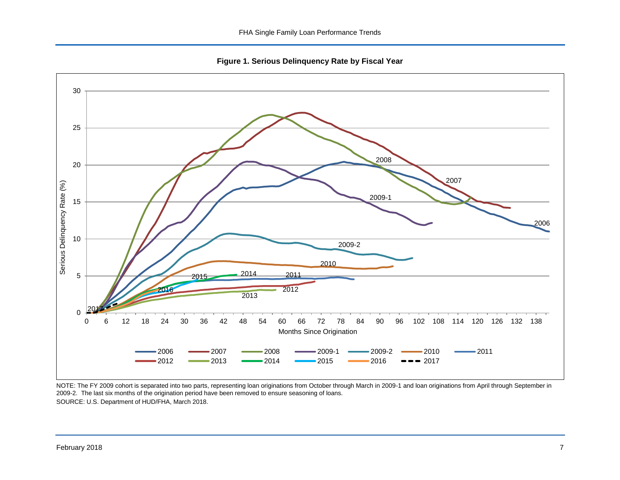**Figure 1. Serious Delinquency Rate by Fiscal Year**

<span id="page-7-0"></span>

NOTE: The FY 2009 cohort is separated into two parts, representing loan originations from October through March in 2009-1 and loan originations from April through September in 2009-2. The last six months of the origination period have been removed to ensure seasoning of loans. SOURCE: U.S. Department of HUD/FHA, March 2018.